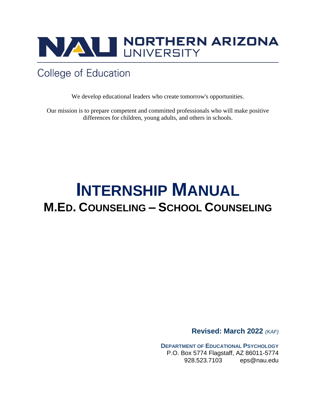

## **College of Education**

We develop educational leaders who create tomorrow's opportunities.

Our mission is to prepare competent and committed professionals who will make positive differences for children, young adults, and others in schools.

# **INTERNSHIP MANUAL M.ED. COUNSELING – SCHOOL COUNSELING**

**Revised: March 2022** *(KAF)*

**DEPARTMENT OF EDUCATIONAL PSYCHOLOGY** P.O. Box 5774 Flagstaff, AZ 86011-5774 928.523.7103 eps@nau.edu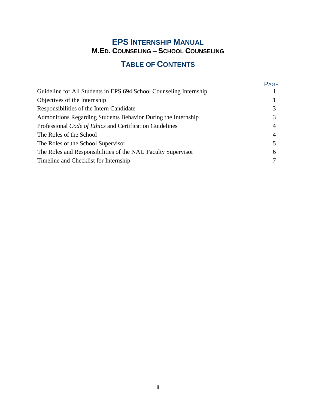## **EPS INTERNSHIP MANUAL M.ED. COUNSELING – SCHOOL COUNSELING**

## **TABLE OF CONTENTS**

|                                                                    | <b>PAGE</b> |
|--------------------------------------------------------------------|-------------|
| Guideline for All Students in EPS 694 School Counseling Internship |             |
| Objectives of the Internship                                       |             |
| Responsibilities of the Intern Candidate                           |             |
| Admonitions Regarding Students Behavior During the Internship      |             |
| Professional Code of Ethics and Certification Guidelines           | 4           |
| The Roles of the School                                            |             |
| The Roles of the School Supervisor                                 |             |
| The Roles and Responsibilities of the NAU Faculty Supervisor       | 6           |
| Timeline and Checklist for Internship                              |             |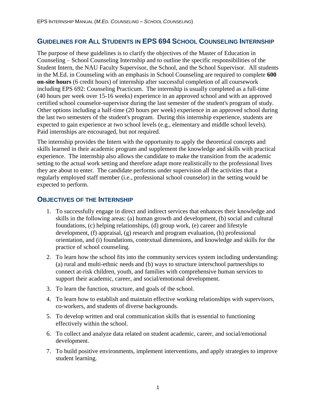## **GUIDELINES FOR ALL STUDENTS IN EPS 694 SCHOOL COUNSELING INTERNSHIP**

The purpose of these guidelines is to clarify the objectives of the Master of Education in Counseling – School Counseling Internship and to outline the specific responsibilities of the Student Intern, the NAU Faculty Supervisor, the School, and the School Supervisor. All students in the M.Ed. in Counseling with an emphasis in School Counseling are required to complete **600 on-site hours** (6 credit hours) of internship after successful completion of all coursework including EPS 692: Counseling Practicum. The internship is usually completed as a full-time (40 hours per week over 15-16 weeks) experience in an approved school and with an approved certified school counselor-supervisor during the last semester of the student's program of study. Other options including a half-time (20 hours per week) experience in an approved school during the last two semesters of the student's program. During this internship experience, students are expected to gain experience at two school levels (e.g., elementary and middle school levels). Paid internships are encouraged, but not required.

The internship provides the Intern with the opportunity to apply the theoretical concepts and skills learned in their academic program and supplement the knowledge and skills with practical experience. The internship also allows the candidate to make the transition from the academic setting to the actual work setting and therefore adapt more realistically to the professional lives they are about to enter. The candidate performs under supervision all the activities that a regularly employed staff member (i.e., professional school counselor) in the setting would be expected to perform.

### **OBJECTIVES OF THE INTERNSHIP**

- 1. To successfully engage in direct and indirect services that enhances their knowledge and skills in the following areas: (a) human growth and development, (b) social and cultural foundations, (c) helping relationships, (d) group work, (e) career and lifestyle development, (f) appraisal, (g) research and program evaluation, (h) professional orientation, and (i) foundations, contextual dimensions, and knowledge and skills for the practice of school counseling.
- 2. To learn how the school fits into the community services system including understanding: (a) rural and multi-ethnic needs and (b) ways to structure interschool partnerships to connect at-risk children, youth, and families with comprehensive human services to support their academic, career, and social/emotional development.
- 3. To learn the function, structure, and goals of the school.
- 4. To learn how to establish and maintain effective working relationships with supervisors, co-workers, and students of diverse backgrounds.
- 5. To develop written and oral communication skills that is essential to functioning effectively within the school.
- 6. To collect and analyze data related on student academic, career, and social/emotional development.
- 7. To build positive environments, implement interventions, and apply strategies to improve student learning.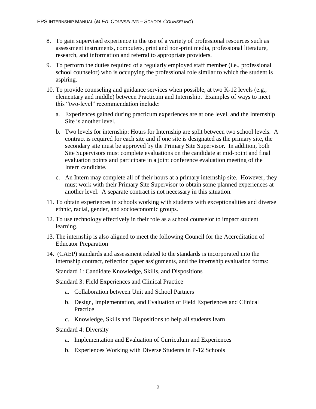- 8. To gain supervised experience in the use of a variety of professional resources such as assessment instruments, computers, print and non-print media, professional literature, research, and information and referral to appropriate providers.
- 9. To perform the duties required of a regularly employed staff member (i.e., professional school counselor) who is occupying the professional role similar to which the student is aspiring.
- 10. To provide counseling and guidance services when possible, at two K-12 levels (e.g., elementary and middle) between Practicum and Internship. Examples of ways to meet this "two-level" recommendation include:
	- a. Experiences gained during practicum experiences are at one level, and the Internship Site is another level.
	- b. Two levels for internship: Hours for Internship are split between two school levels. A contract is required for each site and if one site is designated as the primary site, the secondary site must be approved by the Primary Site Supervisor. In addition, both Site Supervisors must complete evaluations on the candidate at mid-point and final evaluation points and participate in a joint conference evaluation meeting of the Intern candidate.
	- c. An Intern may complete all of their hours at a primary internship site. However, they must work with their Primary Site Supervisor to obtain some planned experiences at another level. A separate contract is not necessary in this situation.
- 11. To obtain experiences in schools working with students with exceptionalities and diverse ethnic, racial, gender, and socioeconomic groups.
- 12. To use technology effectively in their role as a school counselor to impact student learning.
- 13. The internship is also aligned to meet the following Council for the Accreditation of Educator Preparation
- 14. (CAEP) standards and assessment related to the standards is incorporated into the internship contract, reflection paper assignments, and the internship evaluation forms:

Standard 1: Candidate Knowledge, Skills, and Dispositions

Standard 3: Field Experiences and Clinical Practice

- a. Collaboration between Unit and School Partners
- b. Design, Implementation, and Evaluation of Field Experiences and Clinical Practice
- c. Knowledge, Skills and Dispositions to help all students learn

Standard 4: Diversity

- a. Implementation and Evaluation of Curriculum and Experiences
- b. Experiences Working with Diverse Students in P-12 Schools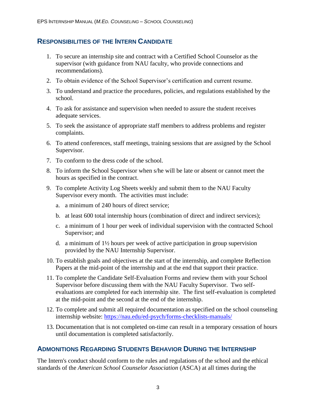### **RESPONSIBILITIES OF THE INTERN CANDIDATE**

- 1. To secure an internship site and contract with a Certified School Counselor as the supervisor (with guidance from NAU faculty, who provide connections and recommendations).
- 2. To obtain evidence of the School Supervisor's certification and current resume.
- 3. To understand and practice the procedures, policies, and regulations established by the school.
- 4. To ask for assistance and supervision when needed to assure the student receives adequate services.
- 5. To seek the assistance of appropriate staff members to address problems and register complaints.
- 6. To attend conferences, staff meetings, training sessions that are assigned by the School Supervisor.
- 7. To conform to the dress code of the school.
- 8. To inform the School Supervisor when s/he will be late or absent or cannot meet the hours as specified in the contract.
- 9. To complete Activity Log Sheets weekly and submit them to the NAU Faculty Supervisor every month. The activities must include:
	- a. a minimum of 240 hours of direct service;
	- b. at least 600 total internship hours (combination of direct and indirect services);
	- c. a minimum of 1 hour per week of individual supervision with the contracted School Supervisor; and
	- d. a minimum of 1½ hours per week of active participation in group supervision provided by the NAU Internship Supervisor.
- 10. To establish goals and objectives at the start of the internship, and complete Reflection Papers at the mid-point of the internship and at the end that support their practice.
- 11. To complete the Candidate Self-Evaluation Forms and review them with your School Supervisor before discussing them with the NAU Faculty Supervisor. Two selfevaluations are completed for each internship site. The first self-evaluation is completed at the mid-point and the second at the end of the internship.
- 12. To complete and submit all required documentation as specified on the school counseling internship website:<https://nau.edu/ed-psych/forms-checklists-manuals/>
- 13. Documentation that is not completed on-time can result in a temporary cessation of hours until documentation is completed satisfactorily.

## **ADMONITIONS REGARDING STUDENTS BEHAVIOR DURING THE INTERNSHIP**

The Intern's conduct should conform to the rules and regulations of the school and the ethical standards of the *American School Counselor Association* (ASCA) at all times during the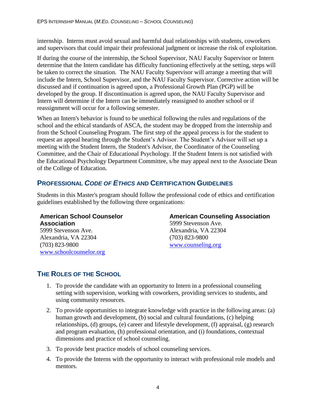internship. Interns must avoid sexual and harmful dual relationships with students, coworkers and supervisors that could impair their professional judgment or increase the risk of exploitation.

If during the course of the internship, the School Supervisor, NAU Faculty Supervisor or Intern determine that the Intern candidate has difficulty functioning effectively at the setting, steps will be taken to correct the situation. The NAU Faculty Supervisor will arrange a meeting that will include the Intern, School Supervisor, and the NAU Faculty Supervisor. Corrective action will be discussed and if continuation is agreed upon, a Professional Growth Plan (PGP) will be developed by the group. If discontinuation is agreed upon, the NAU Faculty Supervisor and Intern will determine if the Intern can be immediately reassigned to another school or if reassignment will occur for a following semester.

When an Intern's behavior is found to be unethical following the rules and regulations of the school and the ethical standards of ASCA, the student may be dropped from the internship and from the School Counseling Program. The first step of the appeal process is for the student to request an appeal hearing through the Student's Advisor. The Student's Advisor will set up a meeting with the Student Intern, the Student's Advisor, the Coordinator of the Counseling Committee, and the Chair of Educational Psychology. If the Student Intern is not satisfied with the Educational Psychology Department Committee, s/he may appeal next to the Associate Dean of the College of Education.

## **PROFESSIONAL** *CODE OF ETHICS* **AND CERTIFICATION GUIDELINES**

Students in this Master's program should follow the professional code of ethics and certification guidelines established by the following three organizations:

#### **American School Counselor Association**

5999 Stevenson Ave. Alexandria, VA 22304 (703) 823-9800 [www.schoolcounselor.org](http://www.schoolcounselor.org/)

#### **American Counseling Association** 5999 Stevenson Ave.

Alexandria, VA 22304 (703) 823-9800 [www.counseling.org](http://www.counseling.org/)

## **THE ROLES OF THE SCHOOL**

- 1. To provide the candidate with an opportunity to Intern in a professional counseling setting with supervision, working with coworkers, providing services to students, and using community resources.
- 2. To provide opportunities to integrate knowledge with practice in the following areas: (a) human growth and development, (b) social and cultural foundations, (c) helping relationships, (d) groups, (e) career and lifestyle development, (f) appraisal, (g) research and program evaluation, (h) professional orientation, and (i) foundations, contextual dimensions and practice of school counseling.
- 3. To provide best practice models of school counseling services.
- 4. To provide the Interns with the opportunity to interact with professional role models and mentors.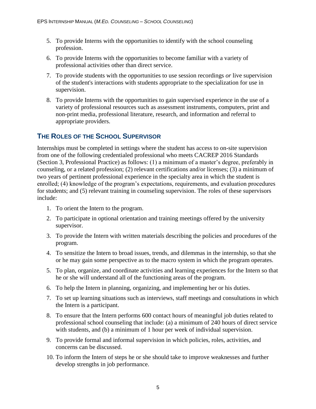- 5. To provide Interns with the opportunities to identify with the school counseling profession.
- 6. To provide Interns with the opportunities to become familiar with a variety of professional activities other than direct service.
- 7. To provide students with the opportunities to use session recordings *or* live supervision of the student's interactions with students appropriate to the specialization for use in supervision.
- 8. To provide Interns with the opportunities to gain supervised experience in the use of a variety of professional resources such as assessment instruments, computers, print and non-print media, professional literature, research, and information and referral to appropriate providers.

## **THE ROLES OF THE SCHOOL SUPERVISOR**

Internships must be completed in settings where the student has access to on-site supervision from one of the following credentialed professional who meets CACREP 2016 Standards (Section 3, Professional Practice) as follows: (1) a minimum of a master's degree, preferably in counseling, or a related profession; (2) relevant certifications and/or licenses; (3) a minimum of two years of pertinent professional experience in the specialty area in which the student is enrolled; (4) knowledge of the program's expectations, requirements, and evaluation procedures for students; and (5) relevant training in counseling supervision. The roles of these supervisors include:

- 1. To orient the Intern to the program.
- 2. To participate in optional orientation and training meetings offered by the university supervisor.
- 3. To provide the Intern with written materials describing the policies and procedures of the program.
- 4. To sensitize the Intern to broad issues, trends, and dilemmas in the internship, so that she or he may gain some perspective as to the macro system in which the program operates.
- 5. To plan, organize, and coordinate activities and learning experiences for the Intern so that he or she will understand all of the functioning areas of the program.
- 6. To help the Intern in planning, organizing, and implementing her or his duties.
- 7. To set up learning situations such as interviews, staff meetings and consultations in which the Intern is a participant.
- 8. To ensure that the Intern performs 600 contact hours of meaningful job duties related to professional school counseling that include: (a) a minimum of 240 hours of direct service with students, and (b) a minimum of 1 hour per week of individual supervision.
- 9. To provide formal and informal supervision in which policies, roles, activities, and concerns can be discussed.
- 10. To inform the Intern of steps he or she should take to improve weaknesses and further develop strengths in job performance.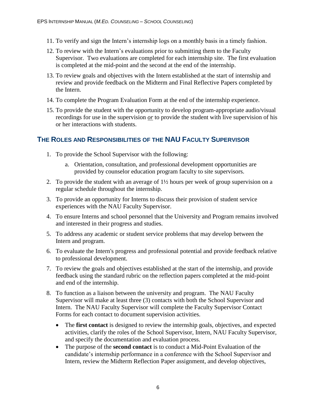- 11. To verify and sign the Intern's internship logs on a monthly basis in a timely fashion.
- 12. To review with the Intern's evaluations prior to submitting them to the Faculty Supervisor. Two evaluations are completed for each internship site. The first evaluation is completed at the mid-point and the second at the end of the internship.
- 13. To review goals and objectives with the Intern established at the start of internship and review and provide feedback on the Midterm and Final Reflective Papers completed by the Intern.
- 14. To complete the Program Evaluation Form at the end of the internship experience.
- 15. To provide the student with the opportunity to develop program-appropriate audio/visual recordings for use in the supervision *or* to provide the student with live supervision of his or her interactions with students.

## **THE ROLES AND RESPONSIBILITIES OF THE NAU FACULTY SUPERVISOR**

- 1. To provide the School Supervisor with the following:
	- a. Orientation, consultation, and professional development opportunities are provided by counselor education program faculty to site supervisors.
- 2. To provide the student with an average of 1½ hours per week of group supervision on a regular schedule throughout the internship.
- 3. To provide an opportunity for Interns to discuss their provision of student service experiences with the NAU Faculty Supervisor.
- 4. To ensure Interns and school personnel that the University and Program remains involved and interested in their progress and studies.
- 5. To address any academic or student service problems that may develop between the Intern and program.
- 6. To evaluate the Intern's progress and professional potential and provide feedback relative to professional development.
- 7. To review the goals and objectives established at the start of the internship, and provide feedback using the standard rubric on the reflection papers completed at the mid-point and end of the internship.
- 8. To function as a liaison between the university and program. The NAU Faculty Supervisor will make at least three (3) contacts with both the School Supervisor and Intern. The NAU Faculty Supervisor will complete the Faculty Supervisor Contact Forms for each contact to document supervision activities.
	- The **first contact** is designed to review the internship goals, objectives, and expected activities, clarify the roles of the School Supervisor, Intern, NAU Faculty Supervisor, and specify the documentation and evaluation process.
	- The purpose of the **second contact** is to conduct a Mid-Point Evaluation of the candidate's internship performance in a conference with the School Supervisor and Intern, review the Midterm Reflection Paper assignment, and develop objectives,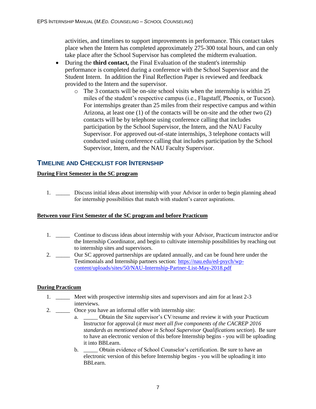activities, and timelines to support improvements in performance. This contact takes place when the Intern has completed approximately 275-300 total hours, and can only take place after the School Supervisor has completed the midterm evaluation.

- During the **third contact,** the Final Evaluation of the student's internship performance is completed during a conference with the School Supervisor and the Student Intern. In addition the Final Reflection Paper is reviewed and feedback provided to the Intern and the supervisor.
	- o The 3 contacts will be on-site school visits when the internship is within 25 miles of the student's respective campus (i.e., Flagstaff, Phoenix, or Tucson). For internships greater than 25 miles from their respective campus and within Arizona, at least one (1) of the contacts will be on-site and the other two (2) contacts will be by telephone using conference calling that includes participation by the School Supervisor, the Intern, and the NAU Faculty Supervisor. For approved out-of-state internships, 3 telephone contacts will conducted using conference calling that includes participation by the School Supervisor, Intern, and the NAU Faculty Supervisor.

## **TIMELINE AND CHECKLIST FOR INTERNSHIP**

#### **During First Semester in the SC program**

1. \_\_\_\_\_ Discuss initial ideas about internship with your Advisor in order to begin planning ahead for internship possibilities that match with student's career aspirations.

#### **Between your First Semester of the SC program and before Practicum**

- 1. \_\_\_\_\_ Continue to discuss ideas about internship with your Advisor, Practicum instructor and/or the Internship Coordinator, and begin to cultivate internship possibilities by reaching out to internship sites and supervisors.
- 2. \_\_\_\_\_ Our SC approved partnerships are updated annually, and can be found here under the Testimonials and Internship partners section: [https://nau.edu/ed-psych/wp](https://nau.edu/ed-psych/wp-content/uploads/sites/50/NAU-Internship-Partner-List-May-2018.pdf)[content/uploads/sites/50/NAU-Internship-Partner-List-May-2018.pdf](https://nau.edu/ed-psych/wp-content/uploads/sites/50/NAU-Internship-Partner-List-May-2018.pdf)

#### **During Practicum**

- 1. \_\_\_\_\_ Meet with prospective internship sites and supervisors and aim for at least 2-3 interviews.
- 2. \_\_\_\_\_\_\_ Once you have an informal offer with internship site:
	- a. \_\_\_\_\_ Obtain the Site supervisor's CV/resume and review it with your Practicum Instructor for approval (*it must meet all five components of the CACREP 2016 standards as mentioned above in School Supervisor Qualifications section*). Be sure to have an electronic version of this before Internship begins - you will be uploading it into BBLearn.
	- b. \_\_\_\_\_ Obtain evidence of School Counselor's certification. Be sure to have an electronic version of this before Internship begins - you will be uploading it into BBLearn.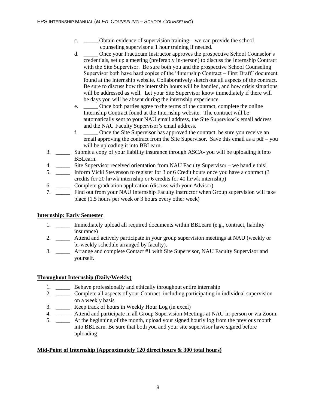- c. \_\_\_\_\_ Obtain evidence of supervision training we can provide the school counseling supervisor a 1 hour training if needed.
- d. \_\_\_\_\_ Once your Practicum Instructor approves the prospective School Counselor's credentials, set up a meeting (preferably in-person) to discuss the Internship Contract with the Site Supervisor. Be sure both you and the prospective School Counseling Supervisor both have hard copies of the "Internship Contract – First Draft" document found at the Internship website. Collaboratively sketch out all aspects of the contract. Be sure to discuss how the internship hours will be handled, and how crisis situations will be addressed as well. Let your Site Supervisor know immediately if there will be days you will be absent during the internship experience.
- e. Once both parties agree to the terms of the contract, complete the online Internship Contract found at the Internship website. The contract will be automatically sent to your NAU email address, the Site Supervisor's email address and the NAU Faculty Supervisor's email address.
- f. \_\_\_\_\_ Once the Site Supervisor has approved the contract, be sure you receive an email approving the contract from the Site Supervisor. Save this email as a pdf – you will be uploading it into BBLearn.
- 3. \_\_\_\_\_ Submit a copy of your liability insurance through ASCA- you will be uploading it into BBLearn.
- 4. \_\_\_\_\_ Site Supervisor received orientation from NAU Faculty Supervisor we handle this!
- 5. \_\_\_\_\_ Inform Vicki Stevenson to register for 3 or 6 Credit hours once you have a contract (3 credits for 20 hr/wk internship or 6 credits for 40 hr/wk internship)
- 6. \_\_\_\_\_ Complete graduation application (discuss with your Advisor)
- 7. \_\_\_\_\_ Find out from your NAU Internship Faculty instructor when Group supervision will take place (1.5 hours per week or 3 hours every other week)

#### **Internship: Early Semester**

- 1. Immediately upload all required documents within BBLearn (e.g., contract, liability insurance)
- 2. \_\_\_\_\_ Attend and actively participate in your group supervision meetings at NAU (weekly or bi-weekly schedule arranged by faculty).
- 3. \_\_\_\_\_ Arrange and complete Contact #1 with Site Supervisor, NAU Faculty Supervisor and yourself.

#### **Throughout Internship (Daily/Weekly)**

- 1. \_\_\_\_\_ Behave professionally and ethically throughout entire internship
- 2. \_\_\_\_\_ Complete all aspects of your Contract, including participating in individual supervision on a weekly basis
- 3. \_\_\_\_\_ Keep track of hours in Weekly Hour Log (in excel)
- 4. \_\_\_\_\_ Attend and participate in all Group Supervision Meetings at NAU in-person or via Zoom.
- 5. \_\_\_\_\_ At the beginning of the month, upload your signed hourly log from the previous month into BBLearn. Be sure that both you and your site supervisor have signed before uploading

#### **Mid-Point of Internship (Approximately 120 direct hours & 300 total hours)**